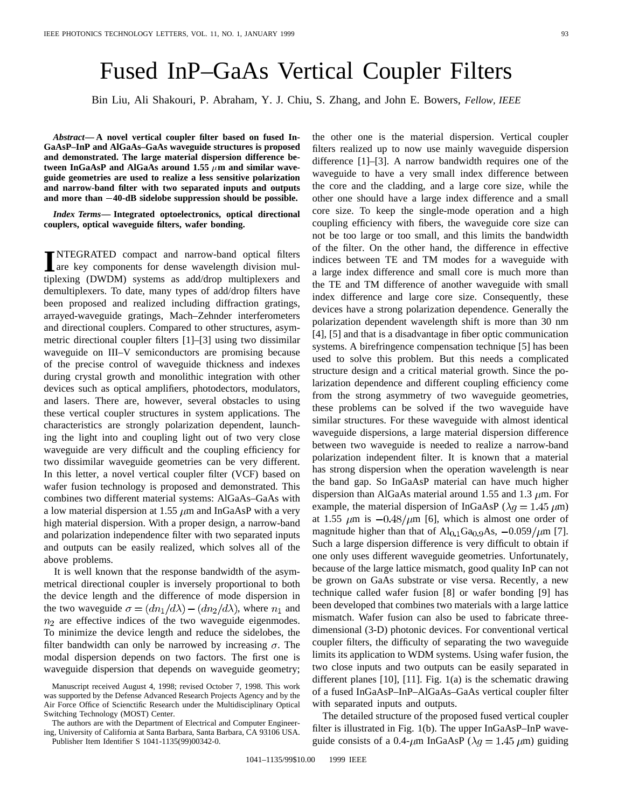## Fused InP–GaAs Vertical Coupler Filters

Bin Liu, Ali Shakouri, P. Abraham, Y. J. Chiu, S. Zhang, and John E. Bowers, *Fellow, IEEE*

*Abstract—* **A novel vertical coupler filter based on fused In-GaAsP–InP and AlGaAs–GaAs waveguide structures is proposed and demonstrated. The large material dispersion difference be**and demonstrated. The large material dispersion difference between InGaAsP and AlGaAs around  $1.55 \mu m$  and similar wave-<br>guide geometries are used to realize a less sensitive polarization<br>and narrow-band filter with two s **guide geometries are used to realize a less sensitive polarization and narrow-band filter with two separated inputs and outputs**

*Index Terms—* **Integrated optoelectronics, optical directional couplers, optical waveguide filters, wafer bonding.**

**I**NTEGRATED compact and narrow-band optical filters<br>are key components for dense wavelength division mulare key components for dense wavelength division multiplexing (DWDM) systems as add/drop multiplexers and demultiplexers. To date, many types of add/drop filters have been proposed and realized including diffraction gratings, arrayed-waveguide gratings, Mach–Zehnder interferometers and directional couplers. Compared to other structures, asymmetric directional coupler filters [1]–[3] using two dissimilar waveguide on III–V semiconductors are promising because of the precise control of waveguide thickness and indexes during crystal growth and monolithic integration with other devices such as optical amplifiers, photodectors, modulators, and lasers. There are, however, several obstacles to using these vertical coupler structures in system applications. The characteristics are strongly polarization dependent, launching the light into and coupling light out of two very close waveguide are very difficult and the coupling efficiency for two dissimilar waveguide geometries can be very different. In this letter, a novel vertical coupler filter (VCF) based on wafer fusion technology is proposed and demonstrated. This combines two different material systems: AlGaAs–GaAs with a low material dispersion at 1.55  $\mu$ m and InGaAsP with a very high material dispersion. With a proper design, a narrow-band and polarization independence filter with two separated inputs and outputs can be easily realized, which solves all of the above problems.

It is well known that the response bandwidth of the asymmetrical directional coupler is inversely proportional to both the device length and the difference of mode dispersion in the two waveguide  $\sigma = (dn_1/d\lambda) - (dn_2/d\lambda)$ , where  $n_1$  and  $n_2$  are effective indices of the two waveguide eigenmodes. To minimize the device length and reduce the sidelobes, the filter bandwidth can only be narrowed by increasing  $\sigma$ . The modal dispersion depends on two factors. The first one is waveguide dispersion that depends on waveguide geometry;

The authors are with the Department of Electrical and Computer Engineering, University of California at Santa Barbara, Santa Barbara, CA 93106 USA. Publisher Item Identifier S 1041-1135(99)00342-0.

the other one is the material dispersion. Vertical coupler filters realized up to now use mainly waveguide dispersion difference [1]–[3]. A narrow bandwidth requires one of the waveguide to have a very small index difference between the core and the cladding, and a large core size, while the other one should have a large index difference and a small core size. To keep the single-mode operation and a high coupling efficiency with fibers, the waveguide core size can not be too large or too small, and this limits the bandwidth of the filter. On the other hand, the difference in effective indices between TE and TM modes for a waveguide with a large index difference and small core is much more than the TE and TM difference of another waveguide with small index difference and large core size. Consequently, these devices have a strong polarization dependence. Generally the polarization dependent wavelength shift is more than 30 nm [4], [5] and that is a disadvantage in fiber optic communication systems. A birefringence compensation technique [5] has been used to solve this problem. But this needs a complicated structure design and a critical material growth. Since the polarization dependence and different coupling efficiency come from the strong asymmetry of two waveguide geometries, these problems can be solved if the two waveguide have similar structures. For these waveguide with almost identical waveguide dispersions, a large material dispersion difference between two waveguide is needed to realize a narrow-band polarization independent filter. It is known that a material has strong dispersion when the operation wavelength is near the band gap. So InGaAsP material can have much higher dispersion than AlGaAs material around 1.55 and 1.3  $\mu$ m. For example, the material dispersion of InGaAsP ( $\lambda q = 1.45 \ \mu m$ ) at 1.55  $\mu$ m is  $-0.48/\mu$ m [6], which is almost one order of magnitude higher than that of  $Al_{0.1}Ga_{0.9}As$ ,  $-0.059/\mu m$  [7]. Such a large dispersion difference is very difficult to obtain if one only uses different waveguide geometries. Unfortunately, because of the large lattice mismatch, good quality InP can not be grown on GaAs substrate or vise versa. Recently, a new technique called wafer fusion [8] or wafer bonding [9] has been developed that combines two materials with a large lattice mismatch. Wafer fusion can also be used to fabricate threedimensional (3-D) photonic devices. For conventional vertical coupler filters, the difficulty of separating the two waveguide limits its application to WDM systems. Using wafer fusion, the two close inputs and two outputs can be easily separated in different planes [10], [11]. Fig. 1(a) is the schematic drawing of a fused InGaAsP–InP–AlGaAs–GaAs vertical coupler filter with separated inputs and outputs.

The detailed structure of the proposed fused vertical coupler filter is illustrated in Fig. 1(b). The upper InGaAsP–InP waveguide consists of a 0.4- $\mu$ m InGaAsP ( $\lambda$ g = 1.45  $\mu$ m) guiding

Manuscript received August 4, 1998; revised October 7, 1998. This work was supported by the Defense Advanced Research Projects Agency and by the Air Force Office of Scienctific Research under the Multidisciplinary Optical Switching Technology (MOST) Center.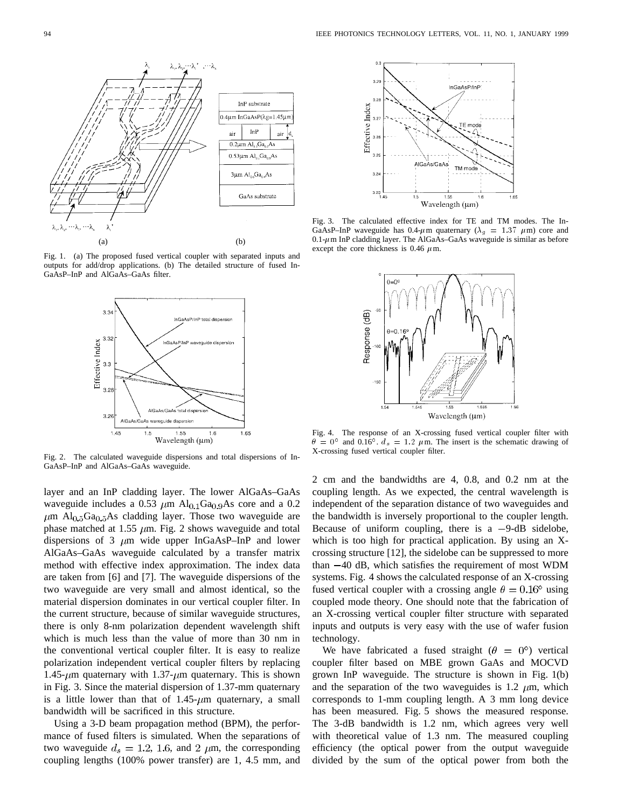

Fig. 1. (a) The proposed fused vertical coupler with separated inputs and outputs for add/drop applications. (b) The detailed structure of fused In-GaAsP–InP and AlGaAs–GaAs filter.



Fig. 2. The calculated waveguide dispersions and total dispersions of In-GaAsP–InP and AlGaAs–GaAs waveguide.

layer and an InP cladding layer. The lower AlGaAs–GaAs waveguide includes a 0.53  $\mu$ m Al<sub>0.1</sub>Ga<sub>0.9</sub>As core and a 0.2  $\mu$ m Al<sub>0.5</sub>Ga<sub>0.5</sub>As cladding layer. Those two waveguide are phase matched at 1.55  $\mu$ m. Fig. 2 shows waveguide and total dispersions of 3  $\mu$ m wide upper InGaAsP–InP and lower AlGaAs–GaAs waveguide calculated by a transfer matrix method with effective index approximation. The index data are taken from [6] and [7]. The waveguide dispersions of the two waveguide are very small and almost identical, so the material dispersion dominates in our vertical coupler filter. In the current structure, because of similar waveguide structures, there is only 8-nm polarization dependent wavelength shift which is much less than the value of more than 30 nm in the conventional vertical coupler filter. It is easy to realize polarization independent vertical coupler filters by replacing 1.45- $\mu$ m quaternary with 1.37- $\mu$ m quaternary. This is shown in Fig. 3. Since the material dispersion of 1.37-mm quaternary is a little lower than that of  $1.45$ - $\mu$ m quaternary, a small bandwidth will be sacrificed in this structure.

Using a 3-D beam propagation method (BPM), the performance of fused filters is simulated. When the separations of two waveguide  $d_s = 1.2, 1.6,$  and 2  $\mu$ m, the corresponding coupling lengths (100% power transfer) are 1, 4.5 mm, and



Fig. 3. The calculated effective index for TE and TM modes. The In-GaAsP–InP waveguide has 0.4- $\mu$ m quaternary ( $\lambda_g$  = 1.37  $\mu$ m) core and  $0.1$ - $\mu$ m InP cladding layer. The AlGaAs–GaAs waveguide is similar as before except the core thickness is 0.46  $\mu$ m.



Fig. 4. The response of an X-crossing fused vertical coupler filter with  $\theta = 0^{\circ}$  and 0.16°.  $d_s = 1.2 \mu \text{m}$ . The insert is the schematic drawing of X-crossing fused vertical coupler filter.

2 cm and the bandwidths are 4, 0.8, and 0.2 nm at the coupling length. As we expected, the central wavelength is independent of the separation distance of two waveguides and the bandwidth is inversely proportional to the coupler length. Because of uniform coupling, there is a  $-9$ -dB sidelobe, which is too high for practical application. By using an Xcrossing structure [12], the sidelobe can be suppressed to more than  $-40$  dB, which satisfies the requirement of most WDM systems. Fig. 4 shows the calculated response of an X-crossing fused vertical coupler with a crossing angle  $\theta = 0.16^{\circ}$  using coupled mode theory. One should note that the fabrication of an X-crossing vertical coupler filter structure with separated inputs and outputs is very easy with the use of wafer fusion technology.

We have fabricated a fused straight ( $\theta = 0^{\circ}$ ) vertical coupler filter based on MBE grown GaAs and MOCVD grown InP waveguide. The structure is shown in Fig. 1(b) and the separation of the two waveguides is 1.2  $\mu$ m, which corresponds to 1-mm coupling length. A 3 mm long device has been measured. Fig. 5 shows the measured response. The 3-dB bandwidth is 1.2 nm, which agrees very well with theoretical value of 1.3 nm. The measured coupling efficiency (the optical power from the output waveguide divided by the sum of the optical power from both the